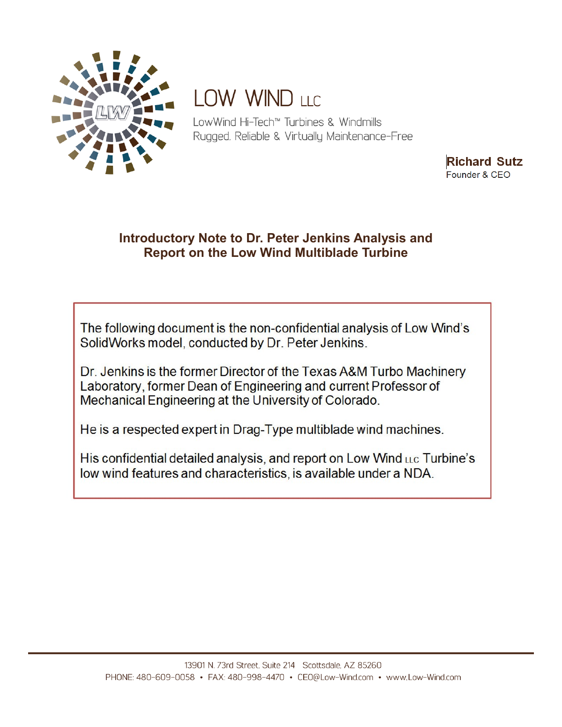

## LOW WIND LLC

LowWind Hi-Tech<sup>™</sup> Turbines & Windmills Rugged, Reliable & Virtually Maintenance-Free

> **Richard Sutz** Founder & CEO

### Introductory Note to Dr. Peter Jenkins Analysis and **Report on the Low Wind Multiblade Turbine**

The following document is the non-confidential analysis of Low Wind's SolidWorks model, conducted by Dr. Peter Jenkins.

Dr. Jenkins is the former Director of the Texas A&M Turbo Machinery Laboratory, former Dean of Engineering and current Professor of Mechanical Engineering at the University of Colorado.

He is a respected expert in Drag-Type multiblade wind machines.

His confidential detailed analysis, and report on Low Wind LLC Turbine's low wind features and characteristics, is available under a NDA.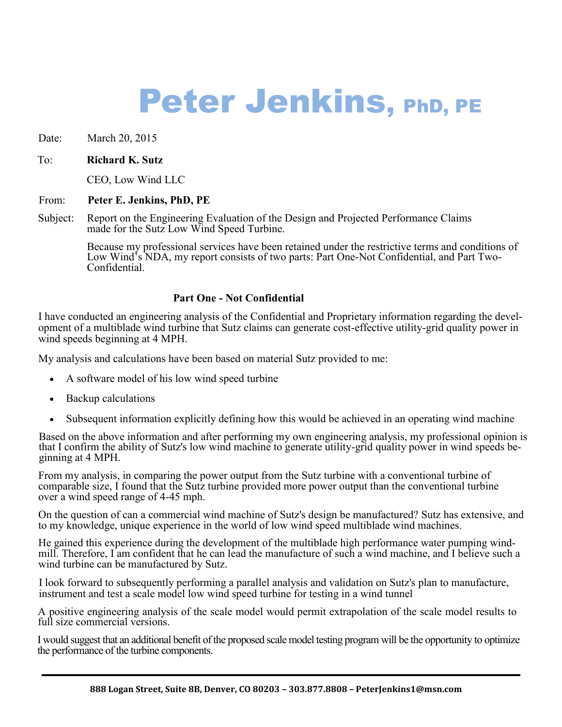# Peter Jenkins, PhD, PE

Date: March 20, 2015

#### To: **Richard K. Sutz**

CEO, Low Wind LLC

#### From: **Peter E. Jenkins, PhD, PE**

Subject: Report on the Engineering Evaluation of the Design and Projected Performance Claims made for the Sutz Low Wind Speed Turbine.

> Because my professional services have been retained under the restrictive terms and conditions of Low Wind's NDA, my report consists of two parts: Part One-Not Confidential, and Part Two-Confidential.

#### **Part One - Not Confidential**

I have conducted an engineering analysis of the Confidential and Proprietary information regarding the development of a multiblade wind turbine that Sutz claims can generate cost-effective utility-grid quality power in wind speeds beginning at 4 MPH.

My analysis and calculations have been based on material Sutz provided to me:

- A software model of his low wind speed turbine
- Backup calculations
- Subsequent information explicitly defining how this would be achieved in an operating wind machine

Based on the above information and after performing my own engineering analysis, my professional opinion is that I confirm the ability of Sutz's low wind machine to generate utility-grid quality power in wind speeds beginning at 4 MPH.

From my analysis, in comparing the power output from the Sutz turbine with a conventional turbine of comparable size, I found that the Sutz turbine provided more power output than the conventional turbine over a wind speed range of 4-45 mph.

On the question of can a commercial wind machine of Sutz's design be manufactured? Sutz has extensive, and to my knowledge, unique experience in the world of low wind speed multiblade wind machines.

He gained this experience during the development of the multiblade high performance water pumping windmill. Therefore, I am confident that he can lead the manufacture of such a wind machine, and I believe such a wind turbine can be manufactured by Sutz.

I look forward to subsequently performing a parallel analysis and validation on Sutz's plan to manufacture, instrument and test a scale model low wind speed turbine for testing in a wind tunnel

A positive engineering analysis of the scale model would permit extrapolation of the scale model results to full size commercial versions.

I would suggest that an additional benefit of the proposed scale model testing program will be the opportunity to optimize the performance of the turbine components.